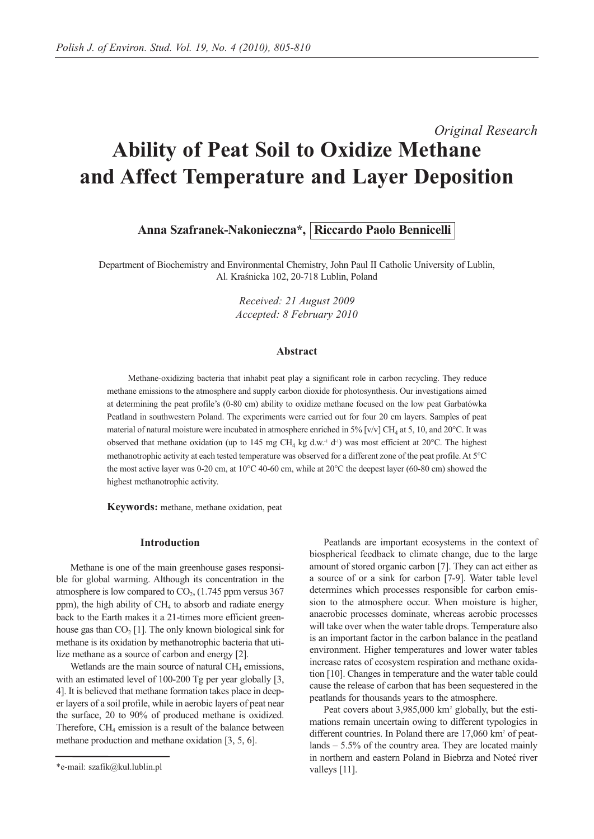# *Original Research* **Ability of Peat Soil to Oxidize Methane and Affect Temperature and Layer Deposition**

**Anna Szafranek-Nakonieczna\*, Riccardo Paolo Bennicelli**

Department of Biochemistry and Environmental Chemistry, John Paul II Catholic University of Lublin, Al. Kraśnicka 102, 20-718 Lublin, Poland

> *Received: 21 August 2009 Accepted: 8 February 2010*

#### **Abstract**

Methane-oxidizing bacteria that inhabit peat play a significant role in carbon recycling. They reduce methane emissions to the atmosphere and supply carbon dioxide for photosynthesis. Our investigations aimed at determining the peat profile's (0-80 cm) ability to oxidize methane focused on the low peat Garbatówka Peatland in southwestern Poland. The experiments were carried out for four 20 cm layers. Samples of peat material of natural moisture were incubated in atmosphere enriched in 5% [v/v] CH<sub>4</sub> at 5, 10, and 20°C. It was observed that methane oxidation (up to 145 mg CH<sub>4</sub> kg d.w.<sup>-1</sup> d<sup>-1</sup>) was most efficient at 20°C. The highest methanotrophic activity at each tested temperature was observed for a different zone of the peat profile. At 5°C the most active layer was 0-20 cm, at 10°C 40-60 cm, while at 20°C the deepest layer (60-80 cm) showed the highest methanotrophic activity.

**Keywords:** methane, methane oxidation, peat

## **Introduction**

Methane is one of the main greenhouse gases responsible for global warming. Although its concentration in the atmosphere is low compared to  $CO<sub>2</sub>$ , (1.745 ppm versus 367 ppm), the high ability of CH<sub>4</sub> to absorb and radiate energy back to the Earth makes it a 21-times more efficient greenhouse gas than  $CO<sub>2</sub>$  [1]. The only known biological sink for methane is its oxidation by methanotrophic bacteria that utilize methane as a source of carbon and energy [2].

Wetlands are the main source of natural  $CH<sub>4</sub>$  emissions, with an estimated level of 100-200 Tg per year globally [3, 4]. It is believed that methane formation takes place in deeper layers of a soil profile, while in aerobic layers of peat near the surface, 20 to 90% of produced methane is oxidized. Therefore,  $CH<sub>4</sub>$  emission is a result of the balance between methane production and methane oxidation [3, 5, 6].

Peatlands are important ecosystems in the context of biospherical feedback to climate change, due to the large amount of stored organic carbon [7]. They can act either as a source of or a sink for carbon [7-9]. Water table level determines which processes responsible for carbon emission to the atmosphere occur. When moisture is higher, anaerobic processes dominate, whereas aerobic processes will take over when the water table drops. Temperature also is an important factor in the carbon balance in the peatland environment. Higher temperatures and lower water tables increase rates of ecosystem respiration and methane oxidation [10]. Changes in temperature and the water table could cause the release of carbon that has been sequestered in the peatlands for thousands years to the atmosphere.

Peat covers about 3,985,000 km<sup>2</sup> globally, but the estimations remain uncertain owing to different typologies in different countries. In Poland there are 17,060 km<sup>2</sup> of peatlands – 5.5% of the country area. They are located mainly in northern and eastern Poland in Biebrza and Noteć river valleys [11].

<sup>\*</sup>e-mail: szafik@kul.lublin.pl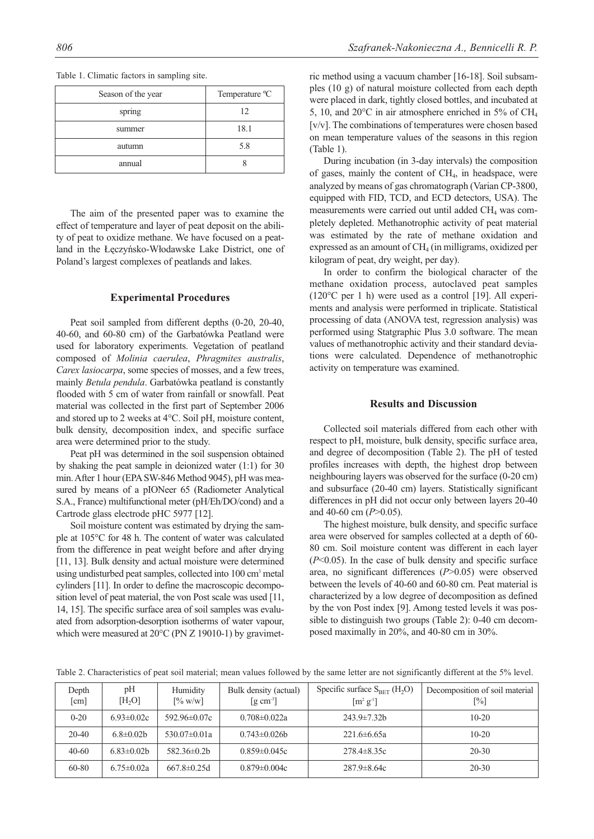| Season of the year | Temperature °C |
|--------------------|----------------|
| spring             | 12             |
| summer             | 18.1           |
| autumn             | 5.8            |
| annual             |                |

Table 1. Climatic factors in sampling site.

The aim of the presented paper was to examine the effect of temperature and layer of peat deposit on the ability of peat to oxidize methane. We have focused on a peatland in the Łęczyńsko-Włodawske Lake District, one of Poland's largest complexes of peatlands and lakes.

## **Experimental Procedures**

Peat soil sampled from different depths (0-20, 20-40, 40-60, and 60-80 cm) of the Garbatówka Peatland were used for laboratory experiments. Vegetation of peatland composed of *Molinia caerulea*, *Phragmites australis*, *Carex lasiocarpa*, some species of mosses, and a few trees, mainly *Betula pendula*. Garbatówka peatland is constantly flooded with 5 cm of water from rainfall or snowfall. Peat material was collected in the first part of September 2006 and stored up to 2 weeks at 4°C. Soil pH, moisture content, bulk density, decomposition index, and specific surface area were determined prior to the study.

Peat pH was determined in the soil suspension obtained by shaking the peat sample in deionized water (1:1) for 30 min. After 1 hour (EPA SW-846 Method 9045), pH was measured by means of a pIONeer 65 (Radiometer Analytical S.A., France) multifunctional meter (pH/Eh/DO/cond) and a Cartrode glass electrode pHC 5977 [12].

Soil moisture content was estimated by drying the sample at 105°C for 48 h. The content of water was calculated from the difference in peat weight before and after drying [11, 13]. Bulk density and actual moisture were determined using undisturbed peat samples, collected into 100 cm<sup>3</sup> metal cylinders [11]. In order to define the macroscopic decomposition level of peat material, the von Post scale was used [11, 14, 15]. The specific surface area of soil samples was evaluated from adsorption-desorption isotherms of water vapour, which were measured at 20 $\degree$ C (PN Z 19010-1) by gravimetric method using a vacuum chamber [16-18]. Soil subsamples (10 g) of natural moisture collected from each depth were placed in dark, tightly closed bottles, and incubated at 5, 10, and 20 $^{\circ}$ C in air atmosphere enriched in 5% of CH<sub>4</sub> [v/v]. The combinations of temperatures were chosen based on mean temperature values of the seasons in this region (Table 1).

During incubation (in 3-day intervals) the composition of gases, mainly the content of  $CH<sub>4</sub>$ , in headspace, were analyzed by means of gas chromatograph (Varian CP-3800, equipped with FID, TCD, and ECD detectors, USA). The measurements were carried out until added  $CH<sub>4</sub>$  was completely depleted. Methanotrophic activity of peat material was estimated by the rate of methane oxidation and expressed as an amount of  $CH<sub>4</sub>$  (in milligrams, oxidized per kilogram of peat, dry weight, per day).

In order to confirm the biological character of the methane oxidation process, autoclaved peat samples (120°C per 1 h) were used as a control [19]. All experiments and analysis were performed in triplicate. Statistical processing of data (ANOVA test, regression analysis) was performed using Statgraphic Plus 3.0 software. The mean values of methanotrophic activity and their standard deviations were calculated. Dependence of methanotrophic activity on temperature was examined.

## **Results and Discussion**

Collected soil materials differed from each other with respect to pH, moisture, bulk density, specific surface area, and degree of decomposition (Table 2). The pH of tested profiles increases with depth, the highest drop between neighbouring layers was observed for the surface (0-20 cm) and subsurface (20-40 cm) layers. Statistically significant differences in pH did not occur only between layers 20-40 and 40-60 cm (*P*>0.05).

The highest moisture, bulk density, and specific surface area were observed for samples collected at a depth of 60- 80 cm. Soil moisture content was different in each layer (*P*<0.05). In the case of bulk density and specific surface area, no significant differences (*P*>0.05) were observed between the levels of 40-60 and 60-80 cm. Peat material is characterized by a low degree of decomposition as defined by the von Post index [9]. Among tested levels it was possible to distinguish two groups (Table 2): 0-40 cm decomposed maximally in 20%, and 40-80 cm in 30%.

| Depth<br>[cm] | pH<br>[H, O]     | Humidity<br>$\lceil\% \text{ w/w}\rceil$ | Bulk density (actual)<br>$\left[ \text{g cm}^3 \right]$ | Specific surface $S_{BET}$ (H <sub>2</sub> O)<br>$\left[\text{m}^2 \text{ g}^{\text{-}1}\right]$ | Decomposition of soil material<br>[%] |
|---------------|------------------|------------------------------------------|---------------------------------------------------------|--------------------------------------------------------------------------------------------------|---------------------------------------|
| $0 - 20$      | $6.93 \pm 0.02c$ | $592.96 \pm 0.07c$                       | $0.708 \pm 0.022a$                                      | $243.9 \pm 7.32$ b                                                                               | $10-20$                               |
| $20-40$       | $6.8 \pm 0.02$ b | $530.07\pm0.01a$                         | $0.743 \pm 0.026$                                       | $221.6\pm 6.65a$                                                                                 | $10-20$                               |
| $40 - 60$     | $6.83\pm0.02b$   | $582.36\pm0.2h$                          | $0.859 \pm 0.045c$                                      | $278.4 \pm 8.35c$                                                                                | $20 - 30$                             |
| $60 - 80$     | $6.75 \pm 0.02a$ | $667.8 \pm 0.25d$                        | $0.879 \pm 0.004c$                                      | $287.9 \pm 8.64c$                                                                                | $20 - 30$                             |

Table 2. Characteristics of peat soil material; mean values followed by the same letter are not significantly different at the 5% level.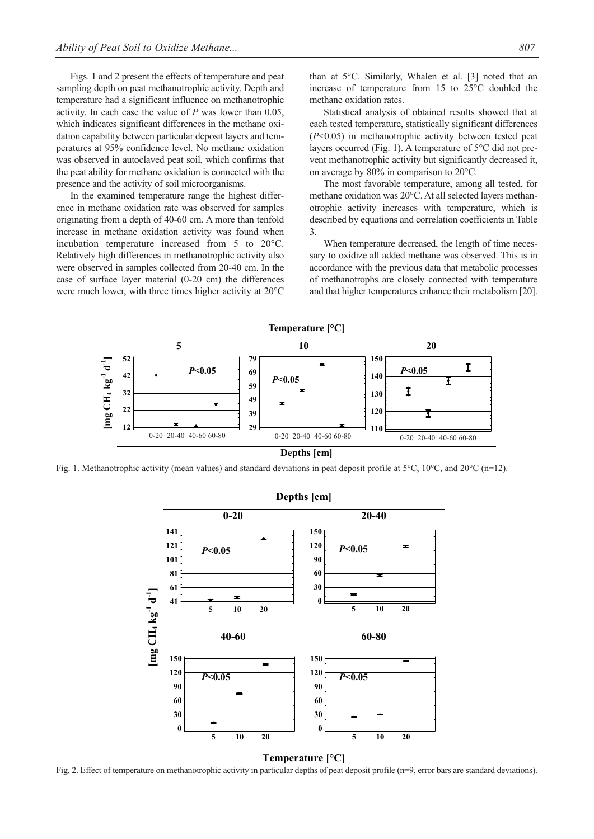Figs. 1 and 2 present the effects of temperature and peat sampling depth on peat methanotrophic activity. Depth and temperature had a significant influence on methanotrophic activity. In each case the value of *P* was lower than 0.05, which indicates significant differences in the methane oxidation capability between particular deposit layers and temperatures at 95% confidence level. No methane oxidation was observed in autoclaved peat soil, which confirms that the peat ability for methane oxidation is connected with the presence and the activity of soil microorganisms.

In the examined temperature range the highest difference in methane oxidation rate was observed for samples originating from a depth of 40-60 cm. A more than tenfold increase in methane oxidation activity was found when incubation temperature increased from 5 to 20°C. Relatively high differences in methanotrophic activity also were observed in samples collected from 20-40 cm. In the case of surface layer material (0-20 cm) the differences were much lower, with three times higher activity at 20°C than at 5°C. Similarly, Whalen et al. [3] noted that an increase of temperature from 15 to 25°C doubled the methane oxidation rates.

Statistical analysis of obtained results showed that at each tested temperature, statistically significant differences (*P*<0.05) in methanotrophic activity between tested peat layers occurred (Fig. 1). A temperature of 5°C did not prevent methanotrophic activity but significantly decreased it, on average by 80% in comparison to 20°C.

The most favorable temperature, among all tested, for methane oxidation was 20°C. At all selected layers methanotrophic activity increases with temperature, which is described by equations and correlation coefficients in Table 3.

When temperature decreased, the length of time necessary to oxidize all added methane was observed. This is in accordance with the previous data that metabolic processes of methanotrophs are closely connected with temperature and that higher temperatures enhance their metabolism [20].



Fig. 1. Methanotrophic activity (mean values) and standard deviations in peat deposit profile at  $5^{\circ}$ C,  $10^{\circ}$ C, and  $20^{\circ}$ C (n=12).



**Temperature [°C]** 

Fig. 2. Effect of temperature on methanotrophic activity in particular depths of peat deposit profile (n=9, error bars are standard deviations).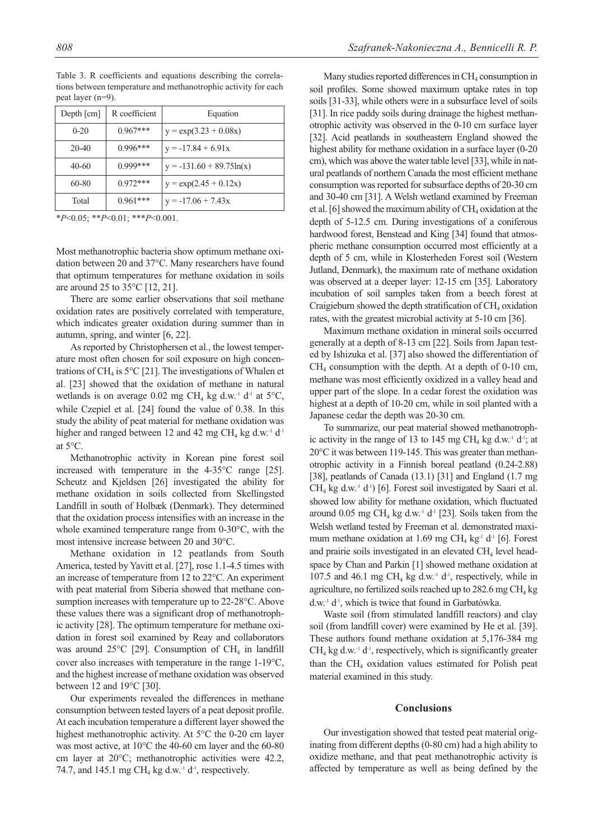| $\mu$ cat iayut ( $\mu$ –7). |               |                             |  |  |  |  |
|------------------------------|---------------|-----------------------------|--|--|--|--|
| Depth $\lceil$ cm $\rceil$   | R coefficient | Equation                    |  |  |  |  |
| $0 - 20$                     | $0.967***$    | $y = exp(3.23 + 0.08x)$     |  |  |  |  |
| $20-40$                      | $0.996***$    | $y = -17.84 + 6.91x$        |  |  |  |  |
| $40-60$                      | $0.999***$    | $y = -131.60 + 89.75\ln(x)$ |  |  |  |  |
| 60-80                        | $0.972***$    | $y = exp(2.45 + 0.12x)$     |  |  |  |  |

Total  $0.961***$   $y = -17.06 + 7.43x$ 

Table 3. R coefficients and equations describing the correlations between temperature and methanotrophic activity for each peat layer  $(n=0)$ .

\**P*<0.05; \*\**P*<0.01; \*\*\**P*<0.001.

Most methanotrophic bacteria show optimum methane oxidation between 20 and 37°C. Many researchers have found that optimum temperatures for methane oxidation in soils are around 25 to 35°C [12, 21].

There are some earlier observations that soil methane oxidation rates are positively correlated with temperature, which indicates greater oxidation during summer than in autumn, spring, and winter [6, 22].

As reported by Christophersen et al., the lowest temperature most often chosen for soil exposure on high concentrations of CH<sub>4</sub> is 5 $\rm ^{\circ}$ C [21]. The investigations of Whalen et al. [23] showed that the oxidation of methane in natural wetlands is on average 0.02 mg CH<sub>4</sub> kg d.w.<sup>-1</sup> d<sup>-1</sup> at  $5^{\circ}$ C, while Czepiel et al. [24] found the value of 0.38. In this study the ability of peat material for methane oxidation was higher and ranged between 12 and 42 mg CH<sub>4</sub> kg d.w.<sup>-1</sup> d<sup>-1</sup> at 5°C.

Methanotrophic activity in Korean pine forest soil increased with temperature in the 4-35°C range [25]. Scheutz and Kjeldsen [26] investigated the ability for methane oxidation in soils collected from Skellingsted Landfill in south of Holbæk (Denmark). They determined that the oxidation process intensifies with an increase in the whole examined temperature range from 0-30°C, with the most intensive increase between 20 and 30°C.

Methane oxidation in 12 peatlands from South America, tested by Yavitt et al. [27], rose 1.1-4.5 times with an increase of temperature from 12 to 22°C. An experiment with peat material from Siberia showed that methane consumption increases with temperature up to 22-28°C. Above these values there was a significant drop of methanotrophic activity [28]. The optimum temperature for methane oxidation in forest soil examined by Reay and collaborators was around  $25^{\circ}$ C [29]. Consumption of CH<sub>4</sub> in landfill cover also increases with temperature in the range 1-19°C, and the highest increase of methane oxidation was observed between 12 and 19°C [30].

Our experiments revealed the differences in methane consumption between tested layers of a peat deposit profile. At each incubation temperature a different layer showed the highest methanotrophic activity. At 5°C the 0-20 cm layer was most active, at 10°C the 40-60 cm layer and the 60-80 cm layer at 20°C; methanotrophic activities were 42.2, 74.7, and 145.1 mg CH<sub>4</sub> kg d.w.<sup>-1</sup> d<sup>-1</sup>, respectively.

Many studies reported differences in  $CH<sub>4</sub>$  consumption in soil profiles. Some showed maximum uptake rates in top soils [31-33], while others were in a subsurface level of soils [31]. In rice paddy soils during drainage the highest methanotrophic activity was observed in the 0-10 cm surface layer [32]. Acid peatlands in southeastern England showed the highest ability for methane oxidation in a surface layer (0-20 cm), which was above the water table level [33], while in natural peatlands of northern Canada the most efficient methane consumption was reported for subsurface depths of 20-30 cm and 30-40 cm [31]. A Welsh wetland examined by Freeman et al. [6] showed the maximum ability of  $CH_4$  oxidation at the depth of 5-12.5 cm. During investigations of a coniferous hardwood forest, Benstead and King [34] found that atmospheric methane consumption occurred most efficiently at a depth of 5 cm, while in Klosterheden Forest soil (Western Jutland, Denmark), the maximum rate of methane oxidation was observed at a deeper layer: 12-15 cm [35]. Laboratory incubation of soil samples taken from a beech forest at Craigieburn showed the depth stratification of  $CH<sub>4</sub>$  oxidation rates, with the greatest microbial activity at 5-10 cm [36].

Maximum methane oxidation in mineral soils occurred generally at a depth of 8-13 cm [22]. Soils from Japan tested by Ishizuka et al. [37] also showed the differentiation of  $CH<sub>4</sub>$  consumption with the depth. At a depth of 0-10 cm, methane was most efficiently oxidized in a valley head and upper part of the slope. In a cedar forest the oxidation was highest at a depth of 10-20 cm, while in soil planted with a Japanese cedar the depth was 20-30 cm.

To summarize, our peat material showed methanotrophic activity in the range of 13 to 145 mg CH<sub>4</sub> kg d.w.<sup>-1</sup> d<sup>-1</sup>; at 20°C it was between 119-145. This was greater than methanotrophic activity in a Finnish boreal peatland (0.24-2.88) [38], peatlands of Canada (13.1) [31] and England (1.7 mg  $CH<sub>4</sub>$  kg d.w.<sup>-1</sup> d<sup>-1</sup>) [6]. Forest soil investigated by Saari et al. showed low ability for methane oxidation, which fluctuated around 0.05 mg CH<sub>4</sub> kg d.w.<sup>-1</sup> d<sup>-1</sup> [23]. Soils taken from the Welsh wetland tested by Freeman et al. demonstrated maximum methane oxidation at 1.69 mg CH<sub>4</sub> kg<sup>-1</sup> d<sup>-1</sup> [6]. Forest and prairie soils investigated in an elevated  $CH<sub>4</sub>$  level headspace by Chan and Parkin [1] showed methane oxidation at 107.5 and 46.1 mg CH<sub>4</sub> kg d.w.<sup>-1</sup> d<sup>-1</sup>, respectively, while in agriculture, no fertilized soils reached up to  $282.6$  mg CH<sub>4</sub> kg d.w.<sup>-1</sup> d<sup>-1</sup>, which is twice that found in Garbatówka.

Waste soil (from stimulated landfill reactors) and clay soil (from landfill cover) were examined by He et al. [39]. These authors found methane oxidation at 5,176-384 mg  $CH<sub>4</sub>$  kg d.w.<sup>-1</sup> d<sup>-1</sup>, respectively, which is significantly greater than the  $CH<sub>4</sub>$  oxidation values estimated for Polish peat material examined in this study.

#### **Conclusions**

Our investigation showed that tested peat material originating from different depths (0-80 cm) had a high ability to oxidize methane, and that peat methanotrophic activity is affected by temperature as well as being defined by the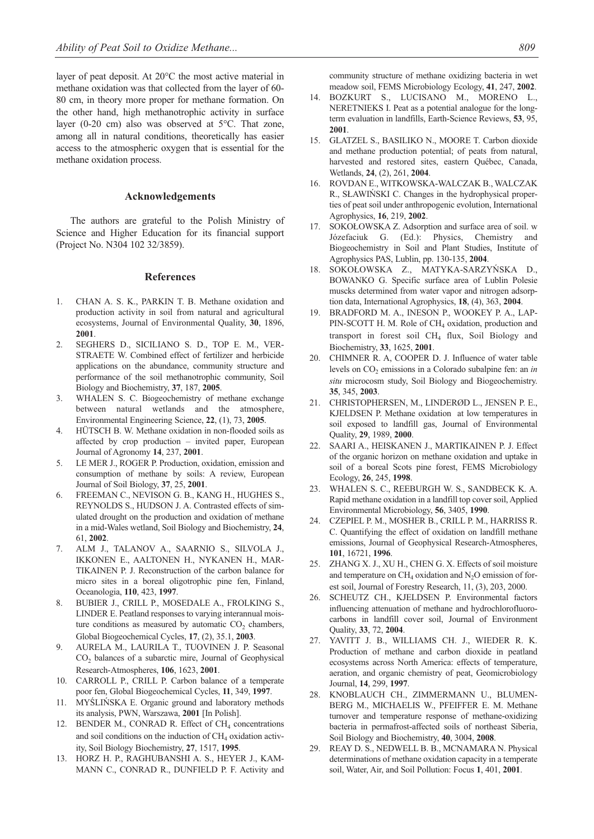layer of peat deposit. At 20°C the most active material in methane oxidation was that collected from the layer of 60- 80 cm, in theory more proper for methane formation. On the other hand, high methanotrophic activity in surface layer (0-20 cm) also was observed at 5°C. That zone, among all in natural conditions, theoretically has easier access to the atmospheric oxygen that is essential for the methane oxidation process.

#### **Acknowledgements**

The authors are grateful to the Polish Ministry of Science and Higher Education for its financial support (Project No. N304 102 32/3859).

#### **References**

- 1. CHAN A. S. K., PARKIN T. B. Methane oxidation and production activity in soil from natural and agricultural ecosystems, Journal of Environmental Quality, **30**, 1896, **2001**.
- 2. SEGHERS D., SICILIANO S. D., TOP E. M., VER-STRAETE W. Combined effect of fertilizer and herbicide applications on the abundance, community structure and performance of the soil methanotrophic community, Soil Biology and Biochemistry, **37**, 187, **2005**.
- 3. WHALEN S. C. Biogeochemistry of methane exchange between natural wetlands and the atmosphere, Environmental Engineering Science, **22**, (1), 73, **2005**.
- 4. HÜTSCH B. W. Methane oxidation in non-flooded soils as affected by crop production – invited paper, European Journal of Agronomy **14**, 237, **2001**.
- 5. LE MER J., ROGER P. Production, oxidation, emission and consumption of methane by soils: A review, European Journal of Soil Biology, **37**, 25, **2001**.
- 6. FREEMAN C., NEVISON G. B., KANG H., HUGHES S., REYNOLDS S., HUDSON J. A. Contrasted effects of simulated drought on the production and oxidation of methane in a mid-Wales wetland, Soil Biology and Biochemistry, **24**, 61, **2002**.
- 7. ALM J., TALANOV A., SAARNIO S., SILVOLA J., IKKONEN E., AALTONEN H., NYKANEN H., MAR-TIKAINEN P. J. Reconstruction of the carbon balance for micro sites in a boreal oligotrophic pine fen, Finland, Oceanologia, **110**, 423, **1997**.
- 8. BUBIER J., CRILL P., MOSEDALE A., FROLKING S., LINDER E. Peatland responses to varying interannual moisture conditions as measured by automatic  $CO<sub>2</sub>$  chambers, Global Biogeochemical Cycles, **17**, (2), 35.1, **2003**.
- 9. AURELA M., LAURILA T., TUOVINEN J. P. Seasonal CO2 balances of a subarctic mire, Journal of Geophysical Research-Atmospheres, **106**, 1623, **2001**.
- 10. CARROLL P., CRILL P. Carbon balance of a temperate poor fen, Global Biogeochemical Cycles, **11**, 349, **1997**.
- 11. MYŚLIŃSKA E. Organic ground and laboratory methods its analysis, PWN, Warszawa, **2001** [In Polish].
- 12. BENDER M., CONRAD R. Effect of CH<sub>4</sub> concentrations and soil conditions on the induction of  $CH<sub>4</sub>$  oxidation activity, Soil Biology Biochemistry, **27**, 1517, **1995**.
- 13. HORZ H. P., RAGHUBANSHI A. S., HEYER J., KAM-MANN C., CONRAD R., DUNFIELD P. F. Activity and

community structure of methane oxidizing bacteria in wet meadow soil, FEMS Microbiology Ecology, **41**, 247, **2002**.

- 14. BOZKURT S., LUCISANO M., MORENO L., NERETNIEKS I. Peat as a potential analogue for the longterm evaluation in landfills, Earth-Science Reviews, **53**, 95, **2001**.
- 15. GLATZEL S., BASILIKO N., MOORE T. Carbon dioxide and methane production potential; of peats from natural, harvested and restored sites, eastern Québec, Canada, Wetlands, **24**, (2), 261, **2004**.
- 16. ROVDAN E., WITKOWSKA-WALCZAK B., WALCZAK R., SŁAWIŃSKI C. Changes in the hydrophysical properties of peat soil under anthropogenic evolution, International Agrophysics, **16**, 219, **2002**.
- 17. SOKOŁOWSKA Z. Adsorption and surface area of soil. w Józefaciuk G. (Ed.): Physics, Chemistry and Biogeochemistry in Soil and Plant Studies, Institute of Agrophysics PAS, Lublin, pp. 130-135, **2004**.
- 18. SOKOŁOWSKA Z., MATYKA-SARZYŃSKA D., BOWANKO G. Specific surface area of Lublin Polesie muscks determined from water vapor and nitrogen adsorption data, International Agrophysics, **18**, (4), 363, **2004**.
- 19. BRADFORD M. A., INESON P., WOOKEY P. A., LAP-PIN-SCOTT H. M. Role of CH<sub>4</sub> oxidation, production and transport in forest soil CH4 flux, Soil Biology and Biochemistry, **33**, 1625, **2001**.
- 20. CHIMNER R. A, COOPER D. J. Influence of water table levels on CO<sub>2</sub> emissions in a Colorado subalpine fen: an *in situ* microcosm study, Soil Biology and Biogeochemistry. **35**, 345, **2003**.
- 21. CHRISTOPHERSEN, M., LINDERØD L., JENSEN P. E., KJELDSEN P. Methane oxidation at low temperatures in soil exposed to landfill gas, Journal of Environmental Quality, **29**, 1989, **2000**.
- 22. SAARI A., HEISKANEN J., MARTIKAINEN P. J. Effect of the organic horizon on methane oxidation and uptake in soil of a boreal Scots pine forest, FEMS Microbiology Ecology, **26**, 245, **1998**.
- 23. WHALEN S. C., REEBURGH W. S., SANDBECK K. A. Rapid methane oxidation in a landfill top cover soil, Applied Environmental Microbiology, **56**, 3405, **1990**.
- 24. CZEPIEL P. M., MOSHER B., CRILL P. M., HARRISS R. C. Quantifying the effect of oxidation on landfill methane emissions, Journal of Geophysical Research-Atmospheres, **101**, 16721, **1996**.
- 25. ZHANG X. J., XU H., CHEN G. X. Effects of soil moisture and temperature on  $CH<sub>4</sub>$  oxidation and  $N<sub>2</sub>O$  emission of forest soil, Journal of Forestry Research, 11, (3), 203, 2000.
- 26. SCHEUTZ CH., KJELDSEN P. Environmental factors influencing attenuation of methane and hydrochlorofluorocarbons in landfill cover soil, Journal of Environment Quality, **33**, 72, **2004**.
- 27. YAVITT J. B., WILLIAMS CH. J., WIEDER R. K. Production of methane and carbon dioxide in peatland ecosystems across North America: effects of temperature, aeration, and organic chemistry of peat, Geomicrobiology Journal, **14**, 299, **1997**.
- 28. KNOBLAUCH CH., ZIMMERMANN U., BLUMEN-BERG M., MICHAELIS W., PFEIFFER E. M. Methane turnover and temperature response of methane-oxidizing bacteria in permafrost-affected soils of northeast Siberia, Soil Biology and Biochemistry, **40**, 3004, **2008**.
- 29. REAY D. S., NEDWELL B. B., MCNAMARA N. Physical determinations of methane oxidation capacity in a temperate soil, Water, Air, and Soil Pollution: Focus **1**, 401, **2001**.